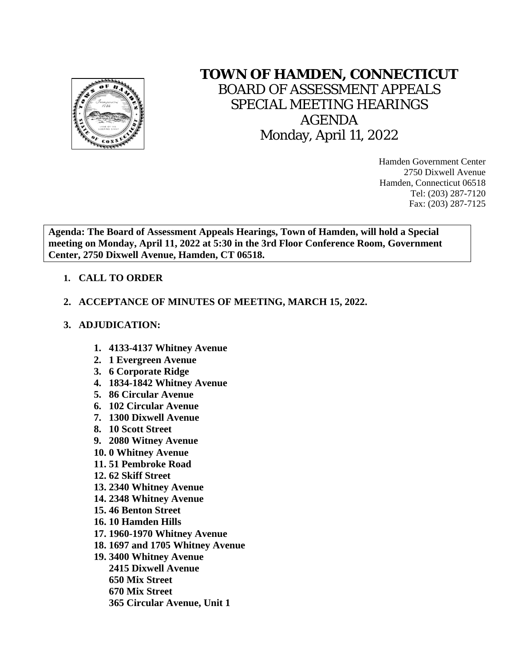

## **TOWN OF HAMDEN, CONNECTICUT**

BOARD OF ASSESSMENT APPEALS SPECIAL MEETING HEARINGS AGENDA Monday, April 11, 2022

> Hamden Government Center 2750 Dixwell Avenue Hamden, Connecticut 06518 Tel: (203) 287-7120 Fax: (203) 287-7125

**Agenda: The Board of Assessment Appeals Hearings, Town of Hamden, will hold a Special meeting on Monday, April 11, 2022 at 5:30 in the 3rd Floor Conference Room, Government Center, 2750 Dixwell Avenue, Hamden, CT 06518.**

## **1. CALL TO ORDER**

## **2. ACCEPTANCE OF MINUTES OF MEETING, MARCH 15, 2022.**

## **3. ADJUDICATION:**

- **1. 4133-4137 Whitney Avenue**
- **2. 1 Evergreen Avenue**
- **3. 6 Corporate Ridge**
- **4. 1834-1842 Whitney Avenue**
- **5. 86 Circular Avenue**
- **6. 102 Circular Avenue**
- **7. 1300 Dixwell Avenue**
- **8. 10 Scott Street**
- **9. 2080 Witney Avenue**
- **10. 0 Whitney Avenue**
- **11. 51 Pembroke Road**
- **12. 62 Skiff Street**
- **13. 2340 Whitney Avenue**
- **14. 2348 Whitney Avenue**
- **15. 46 Benton Street**
- **16. 10 Hamden Hills**
- **17. 1960-1970 Whitney Avenue**
- **18. 1697 and 1705 Whitney Avenue**
- **19. 3400 Whitney Avenue**
	- **2415 Dixwell Avenue**
	- **650 Mix Street**
	- **670 Mix Street**
	- **365 Circular Avenue, Unit 1**